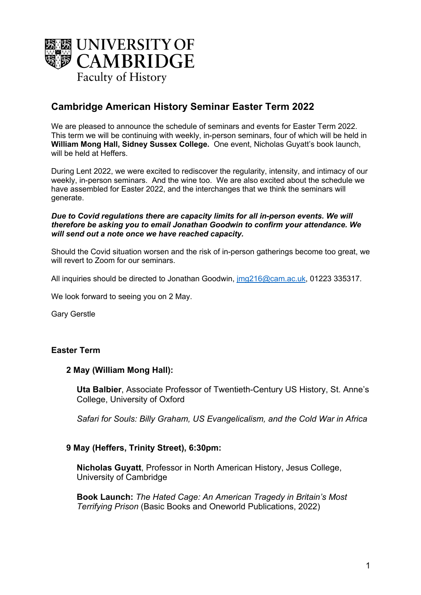

# **Cambridge American History Seminar Easter Term 2022**

We are pleased to announce the schedule of seminars and events for Easter Term 2022. This term we will be continuing with weekly, in-person seminars, four of which will be held in **William Mong Hall, Sidney Sussex College.** One event, Nicholas Guyatt's book launch, will be held at Heffers.

During Lent 2022, we were excited to rediscover the regularity, intensity, and intimacy of our weekly, in-person seminars. And the wine too. We are also excited about the schedule we have assembled for Easter 2022, and the interchanges that we think the seminars will generate.

#### *Due to Covid regulations there are capacity limits for all in-person events. We will therefore be asking you to email Jonathan Goodwin to confirm your attendance. We will send out a note once we have reached capacity.*

Should the Covid situation worsen and the risk of in-person gatherings become too great, we will revert to Zoom for our seminars.

All inquiries should be directed to Jonathan Goodwin, jmg216@cam.ac.uk, 01223 335317.

We look forward to seeing you on 2 May.

Gary Gerstle

### **Easter Term**

### **2 May (William Mong Hall):**

**Uta Balbier**, Associate Professor of Twentieth-Century US History, St. Anne's College, University of Oxford

*Safari for Souls: Billy Graham, US Evangelicalism, and the Cold War in Africa*

### **9 May (Heffers, Trinity Street), 6:30pm:**

**Nicholas Guyatt**, Professor in North American History, Jesus College, University of Cambridge

**Book Launch:** *The Hated Cage: An American Tragedy in Britain's Most Terrifying Prison* (Basic Books and Oneworld Publications, 2022)